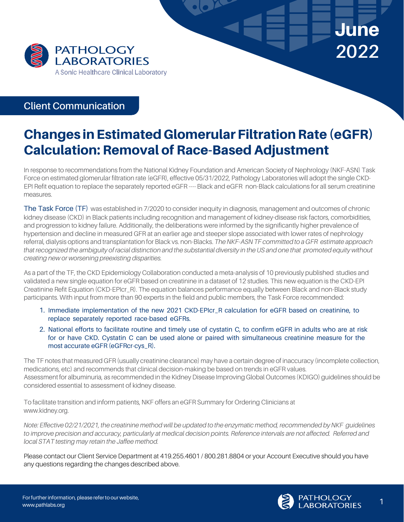

## **Client Communication**

## Changes in Estimated Glomerular Filtration Rate (eGFR) Calculation: Removal of Race-Based Adjustment

In response to recommendations from the National Kidney Foundation and American Society of Nephrology (NKF-ASN) Task Force on estimated glomerular filtration rate (eGFR), effective 05/31/2022, Pathology Laboratories will adopt the single CKD-EPI Refit equation to replace the separately reported eGFR ----Black and eGFR non-Black calculations for all serum creatinine measures.

The Task Force (TF) was established in 7/2020 to consider inequity in diagnosis, management and outcomes of chronic kidney disease (CKD) in Black patients including recognition and management of kidney-disease risk factors, comorbidities, and progression to kidney failure. Additionally, the deliberations were informed by the significantly higher prevalence of hypertension and decline in measured GFR at an earlier age and steeper slope associated with lower rates of nephrology referral, dialysis options and transplantation for Black vs. non-Blacks. *TheNKF-ASNTF committed to a GFR estimate approach* that recognized the ambiguity of racial distinction and the substantial diversity in the US and one that promoted equity without *creating new or worsening preexisting disparities.*

As a part of the TF, the CKD Epidemiology Collaboration conducted a meta-analysis of 10 previously published studies and validated a new single equation for eGFR based on creatinine in a dataset of 12 studies. This new equation is the CKD-EPI Creatinine Refit Equation (CKD-EPIcr\_R). The equation balances performance equally between Black and non-Black study participants. With input from more than 90 experts in the field and public members, the Task Force recommended:

- 1. Immediate implementation of the new 2021 CKD-EPIcr\_R calculation for eGFR based on creatinine, to replace separately reported race-based eGFRs.
- 2. National efforts to facilitate routine and timely use of cystatin C, to confirm eGFR in adults who are at risk for or have CKD. Cystatin C can be used alone or paired with simultaneous creatinine measure for the most accurate eGFR (eGFRcr-cys\_R).

The TF notes that measured GFR (usually creatinine clearance) may have a certain degree of inaccuracy (incomplete collection, medications, etc) and recommends that clinical decision-making be based on trends in eGFR values. Assessment for albuminuria, as recommended in the Kidney Disease Improving Global Outcomes (KDIGO) guidelines should be considered essential to assessment of kidney disease.

To facilitate transition and inform patients, NKF offers an eGFR Summary for Ordering Clinicians at www.kidney.org.

*Note: Effective 02/21/2021, the creatinine method will be updated to the enzymatic method, recommended byNKF guidelines to improve precision and accuracy, particularly at medical decision points. Reference intervals are not affected. Referred and local STAT testing may retain the Jaffee method.*

Please contact our Client Service Department at 419.255.4601 / 800.281.8804 or your Account Executive should you have any questions regarding the changes described above.



**June** 

**2022**